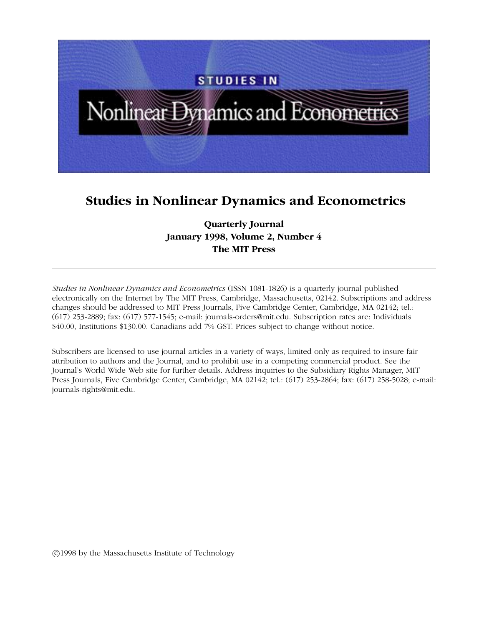

## **Studies in Nonlinear Dynamics and Econometrics**

## **Quarterly Journal January 1998, Volume 2, Number 4 The MIT Press**

*Studies in Nonlinear Dynamics and Econometrics* (ISSN 1081-1826) is a quarterly journal published electronically on the Internet by The MIT Press, Cambridge, Massachusetts, 02142. Subscriptions and address changes should be addressed to MIT Press Journals, Five Cambridge Center, Cambridge, MA 02142; tel.: (617) 253-2889; fax: (617) 577-1545; e-mail: journals-orders@mit.edu. Subscription rates are: Individuals \$40.00, Institutions \$130.00. Canadians add 7% GST. Prices subject to change without notice.

Subscribers are licensed to use journal articles in a variety of ways, limited only as required to insure fair attribution to authors and the Journal, and to prohibit use in a competing commercial product. See the Journal's World Wide Web site for further details. Address inquiries to the Subsidiary Rights Manager, MIT Press Journals, Five Cambridge Center, Cambridge, MA 02142; tel.: (617) 253-2864; fax: (617) 258-5028; e-mail: journals-rights@mit.edu.

°c 1998 by the Massachusetts Institute of Technology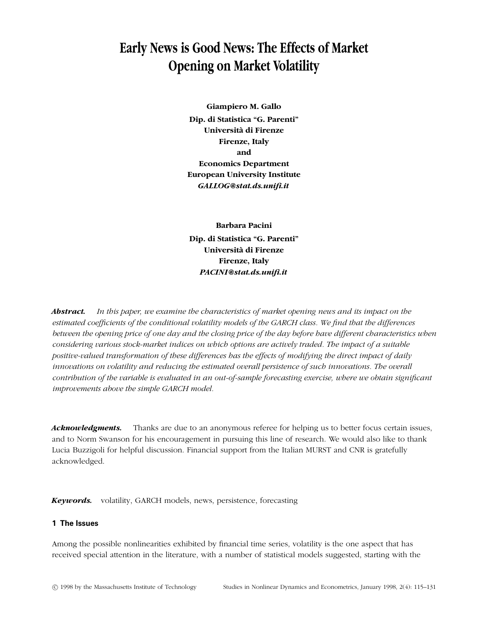# **Early News is Good News: The Effects of Market Opening on Market Volatility**

**Giampiero M. Gallo Dip. di Statistica "G. Parenti" Universita di Firenze ` Firenze, Italy and Economics Department European University Institute** *GALLOG@stat.ds.unifi.it*

**Barbara Pacini Dip. di Statistica "G. Parenti" Universita di Firenze ` Firenze, Italy** *PACINI@stat.ds.unifi.it*

*Abstract. In this paper, we examine the characteristics of market opening news and its impact on the estimated coefficients of the conditional volatility models of the GARCH class. We find that the differences between the opening price of one day and the closing price of the day before have different characteristics when considering various stock-market indices on which options are actively traded. The impact of a suitable positive-valued transformation of these differences has the effects of modifying the direct impact of daily innovations on volatility and reducing the estimated overall persistence of such innovations. The overall contribution of the variable is evaluated in an out-of-sample forecasting exercise, where we obtain significant improvements above the simple GARCH model.*

*Acknowledgments.* Thanks are due to an anonymous referee for helping us to better focus certain issues, and to Norm Swanson for his encouragement in pursuing this line of research. We would also like to thank Lucia Buzzigoli for helpful discussion. Financial support from the Italian MURST and CNR is gratefully acknowledged.

*Keywords.* volatility, GARCH models, news, persistence, forecasting

## **1 The Issues**

Among the possible nonlinearities exhibited by financial time series, volatility is the one aspect that has received special attention in the literature, with a number of statistical models suggested, starting with the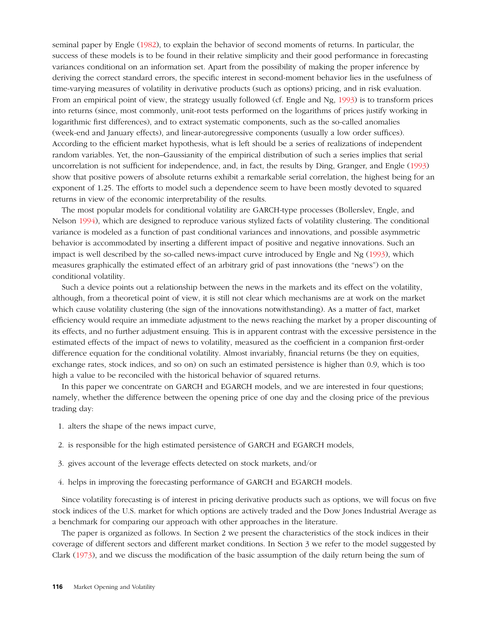seminal paper by Engle [\(1982\)](#page-16-0), to explain the behavior of second moments of returns. In particular, the success of these models is to be found in their relative simplicity and their good performance in forecasting variances conditional on an information set. Apart from the possibility of making the proper inference by deriving the correct standard errors, the specific interest in second-moment behavior lies in the usefulness of time-varying measures of volatility in derivative products (such as options) pricing, and in risk evaluation. From an empirical point of view, the strategy usually followed (cf. Engle and Ng, [1993\)](#page-16-1) is to transform prices into returns (since, most commonly, unit-root tests performed on the logarithms of prices justify working in logarithmic first differences), and to extract systematic components, such as the so-called anomalies (week-end and January effects), and linear-autoregressive components (usually a low order suffices). According to the efficient market hypothesis, what is left should be a series of realizations of independent random variables. Yet, the non–Gaussianity of the empirical distribution of such a series implies that serial uncorrelation is not sufficient for independence, and, in fact, the results by Ding, Granger, and Engle [\(1993\)](#page-16-2) show that positive powers of absolute returns exhibit a remarkable serial correlation, the highest being for an exponent of 1*.*25. The efforts to model such a dependence seem to have been mostly devoted to squared returns in view of the economic interpretability of the results.

The most popular models for conditional volatility are GARCH-type processes (Bollerslev, Engle, and Nelson [1994\)](#page-16-3), which are designed to reproduce various stylized facts of volatility clustering. The conditional variance is modeled as a function of past conditional variances and innovations, and possible asymmetric behavior is accommodated by inserting a different impact of positive and negative innovations. Such an impact is well described by the so-called news-impact curve introduced by Engle and Ng [\(1993\)](#page-16-1), which measures graphically the estimated effect of an arbitrary grid of past innovations (the "news") on the conditional volatility.

Such a device points out a relationship between the news in the markets and its effect on the volatility, although, from a theoretical point of view, it is still not clear which mechanisms are at work on the market which cause volatility clustering (the sign of the innovations notwithstanding). As a matter of fact, market efficiency would require an immediate adjustment to the news reaching the market by a proper discounting of its effects, and no further adjustment ensuing. This is in apparent contrast with the excessive persistence in the estimated effects of the impact of news to volatility, measured as the coefficient in a companion first-order difference equation for the conditional volatility. Almost invariably, financial returns (be they on equities, exchange rates, stock indices, and so on) on such an estimated persistence is higher than 0*.*9, which is too high a value to be reconciled with the historical behavior of squared returns.

In this paper we concentrate on GARCH and EGARCH models, and we are interested in four questions; namely, whether the difference between the opening price of one day and the closing price of the previous trading day:

- 1. alters the shape of the news impact curve,
- 2. is responsible for the high estimated persistence of GARCH and EGARCH models,
- 3. gives account of the leverage effects detected on stock markets, and/or
- 4. helps in improving the forecasting performance of GARCH and EGARCH models.

Since volatility forecasting is of interest in pricing derivative products such as options, we will focus on five stock indices of the U.S. market for which options are actively traded and the Dow Jones Industrial Average as a benchmark for comparing our approach with other approaches in the literature.

The paper is organized as follows. In Section 2 we present the characteristics of the stock indices in their coverage of different sectors and different market conditions. In Section 3 we refer to the model suggested by Clark [\(1973\)](#page-16-4), and we discuss the modification of the basic assumption of the daily return being the sum of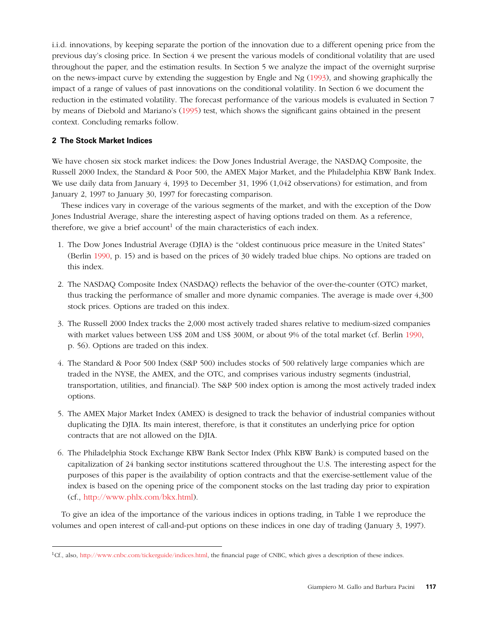i.i.d. innovations, by keeping separate the portion of the innovation due to a different opening price from the previous day's closing price. In Section 4 we present the various models of conditional volatility that are used throughout the paper, and the estimation results. In Section 5 we analyze the impact of the overnight surprise on the news-impact curve by extending the suggestion by Engle and Ng [\(1993\)](#page-16-1), and showing graphically the impact of a range of values of past innovations on the conditional volatility. In Section 6 we document the reduction in the estimated volatility. The forecast performance of the various models is evaluated in Section 7 by means of Diebold and Mariano's [\(1995\)](#page-16-5) test, which shows the significant gains obtained in the present context. Concluding remarks follow.

## **2 The Stock Market Indices**

We have chosen six stock market indices: the Dow Jones Industrial Average, the NASDAQ Composite, the Russell 2000 Index, the Standard & Poor 500, the AMEX Major Market, and the Philadelphia KBW Bank Index. We use daily data from January 4, 1993 to December 31, 1996 (1,042 observations) for estimation, and from January 2, 1997 to January 30, 1997 for forecasting comparison.

These indices vary in coverage of the various segments of the market, and with the exception of the Dow Jones Industrial Average, share the interesting aspect of having options traded on them. As a reference, therefore, we give a brief account<sup>1</sup> of the main characteristics of each index.

- 1. The Dow Jones Industrial Average (DJIA) is the "oldest continuous price measure in the United States" (Berlin [1990,](#page-16-6) p. 15) and is based on the prices of 30 widely traded blue chips. No options are traded on this index.
- 2. The NASDAQ Composite Index (NASDAQ) reflects the behavior of the over-the-counter (OTC) market, thus tracking the performance of smaller and more dynamic companies. The average is made over 4,300 stock prices. Options are traded on this index.
- 3. The Russell 2000 Index tracks the 2,000 most actively traded shares relative to medium-sized companies with market values between US\$ 20M and US\$ 300M, or about 9% of the total market (cf. Berlin [1990,](#page-16-6) p. 56). Options are traded on this index.
- 4. The Standard & Poor 500 Index (S&P 500) includes stocks of 500 relatively large companies which are traded in the NYSE, the AMEX, and the OTC, and comprises various industry segments (industrial, transportation, utilities, and financial). The S&P 500 index option is among the most actively traded index options.
- 5. The AMEX Major Market Index (AMEX) is designed to track the behavior of industrial companies without duplicating the DJIA. Its main interest, therefore, is that it constitutes an underlying price for option contracts that are not allowed on the DJIA.
- 6. The Philadelphia Stock Exchange KBW Bank Sector Index (Phlx KBW Bank) is computed based on the capitalization of 24 banking sector institutions scattered throughout the U.S. The interesting aspect for the purposes of this paper is the availability of option contracts and that the exercise-settlement value of the index is based on the opening price of the component stocks on the last trading day prior to expiration (cf., [http://www.phlx.com/bkx.html\)](http://www.phlx.com/bkx.html).

To give an idea of the importance of the various indices in options trading, in Table 1 we reproduce the volumes and open interest of call-and-put options on these indices in one day of trading (January 3, 1997).

 ${}^{1}$ Cf., also, [http://www.cnbc.com/tickerguide/indices.html,](http://www.cnbc.com/tickerguide/indices.html) the financial page of CNBC, which gives a description of these indices.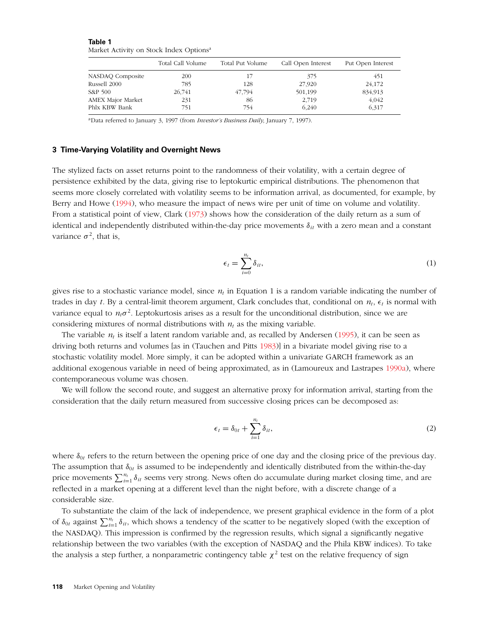|                          | Total Call Volume | Total Put Volume | Call Open Interest | Put Open Interest |  |  |  |
|--------------------------|-------------------|------------------|--------------------|-------------------|--|--|--|
| NASDAQ Composite         | 200               |                  | 375                | 451               |  |  |  |
| Russell 2000             | 785               | 128              | 27,920             | 24,172            |  |  |  |
| S&P 500                  | 26,741            | 47,794           | 501,199            | 834,913           |  |  |  |
| <b>AMEX Major Market</b> | 231               | 86               | 2,719              | 4,042             |  |  |  |
| Phlx KBW Bank            | 751               | 754              | 6,240              | 6,317             |  |  |  |

**Table 1** Market Activity on Stock Index Options<sup>a</sup>

aData referred to January 3, 1997 (from *Investor's Business Daily*, January 7, 1997).

## **3 Time-Varying Volatility and Overnight News**

The stylized facts on asset returns point to the randomness of their volatility, with a certain degree of persistence exhibited by the data, giving rise to leptokurtic empirical distributions. The phenomenon that seems more closely correlated with volatility seems to be information arrival, as documented, for example, by Berry and Howe [\(1994\)](#page-16-7), who measure the impact of news wire per unit of time on volume and volatility. From a statistical point of view, Clark [\(1973\)](#page-16-4) shows how the consideration of the daily return as a sum of identical and independently distributed within-the-day price movements *δit* with a zero mean and a constant variance  $\sigma^2$ , that is,

$$
\epsilon_t = \sum_{i=0}^{n_t} \delta_{it},\tag{1}
$$

gives rise to a stochastic variance model, since  $n_t$  in Equation 1 is a random variable indicating the number of trades in day *t*. By a central-limit theorem argument, Clark concludes that, conditional on  $n_t$ ,  $\epsilon_t$  is normal with variance equal to  $n_t\sigma^2$ . Leptokurtosis arises as a result for the unconditional distribution, since we are considering mixtures of normal distributions with  $n_t$  as the mixing variable.

The variable  $n_t$  is itself a latent random variable and, as recalled by Andersen [\(1995\)](#page-16-8), it can be seen as driving both returns and volumes [as in (Tauchen and Pitts [1983\)](#page-16-9)] in a bivariate model giving rise to a stochastic volatility model. More simply, it can be adopted within a univariate GARCH framework as an additional exogenous variable in need of being approximated, as in (Lamoureux and Lastrapes [1990a\)](#page-16-10), where contemporaneous volume was chosen.

We will follow the second route, and suggest an alternative proxy for information arrival, starting from the consideration that the daily return measured from successive closing prices can be decomposed as:

$$
\epsilon_t = \delta_{0t} + \sum_{i=1}^{n_t} \delta_{it},\tag{2}
$$

where  $\delta_{0t}$  refers to the return between the opening price of one day and the closing price of the previous day. The assumption that  $\delta_{0t}$  is assumed to be independently and identically distributed from the within-the-day price movements  $\sum_{i=1}^{n_t} \delta_{it}$  seems very strong. News often do accumulate during market closing time, and are reflected in a market opening at a different level than the night before, with a discrete change of a considerable size.

To substantiate the claim of the lack of independence, we present graphical evidence in the form of a plot of  $\delta_{0t}$  against  $\sum_{i=1}^{n_t} \delta_{it}$ , which shows a tendency of the scatter to be negatively sloped (with the exception of the NASDAQ). This impression is confirmed by the regression results, which signal a significantly negative relationship between the two variables (with the exception of NASDAQ and the Phila KBW indices). To take the analysis a step further, a nonparametric contingency table  $\chi^2$  test on the relative frequency of sign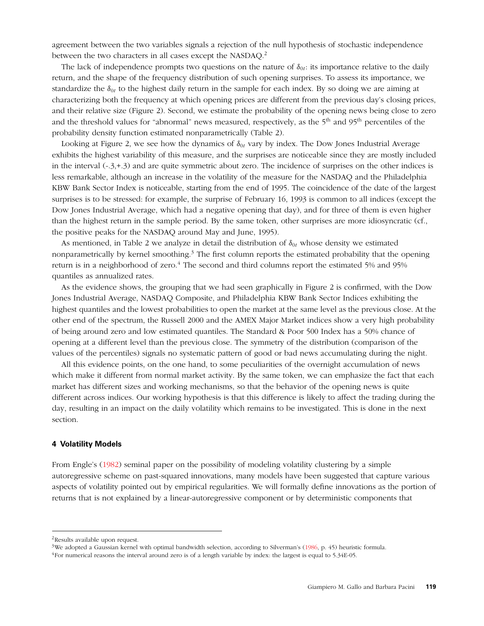agreement between the two variables signals a rejection of the null hypothesis of stochastic independence between the two characters in all cases except the NASDAQ.<sup>2</sup>

The lack of independence prompts two questions on the nature of  $\delta_{0t}$ : its importance relative to the daily return, and the shape of the frequency distribution of such opening surprises. To assess its importance, we standardize the  $\delta_{0t}$  to the highest daily return in the sample for each index. By so doing we are aiming at characterizing both the frequency at which opening prices are different from the previous day's closing prices, and their relative size (Figure 2). Second, we estimate the probability of the opening news being close to zero and the threshold values for "abnormal" news measured, respectively, as the 5<sup>th</sup> and 95<sup>th</sup> percentiles of the probability density function estimated nonparametrically (Table 2).

Looking at Figure 2, we see how the dynamics of  $\delta_{0t}$  vary by index. The Dow Jones Industrial Average exhibits the highest variability of this measure, and the surprises are noticeable since they are mostly included in the interval (-.3,+.3) and are quite symmetric about zero. The incidence of surprises on the other indices is less remarkable, although an increase in the volatility of the measure for the NASDAQ and the Philadelphia KBW Bank Sector Index is noticeable, starting from the end of 1995. The coincidence of the date of the largest surprises is to be stressed: for example, the surprise of February 16, 1993 is common to all indices (except the Dow Jones Industrial Average, which had a negative opening that day), and for three of them is even higher than the highest return in the sample period. By the same token, other surprises are more idiosyncratic (cf., the positive peaks for the NASDAQ around May and June, 1995).

As mentioned, in Table 2 we analyze in detail the distribution of  $\delta_{0t}$  whose density we estimated nonparametrically by kernel smoothing.<sup>3</sup> The first column reports the estimated probability that the opening return is in a neighborhood of zero.<sup>4</sup> The second and third columns report the estimated 5% and 95% quantiles as annualized rates.

As the evidence shows, the grouping that we had seen graphically in Figure 2 is confirmed, with the Dow Jones Industrial Average, NASDAQ Composite, and Philadelphia KBW Bank Sector Indices exhibiting the highest quantiles and the lowest probabilities to open the market at the same level as the previous close. At the other end of the spectrum, the Russell 2000 and the AMEX Major Market indices show a very high probability of being around zero and low estimated quantiles. The Standard & Poor 500 Index has a 50% chance of opening at a different level than the previous close. The symmetry of the distribution (comparison of the values of the percentiles) signals no systematic pattern of good or bad news accumulating during the night.

All this evidence points, on the one hand, to some peculiarities of the overnight accumulation of news which make it different from normal market activity. By the same token, we can emphasize the fact that each market has different sizes and working mechanisms, so that the behavior of the opening news is quite different across indices. Our working hypothesis is that this difference is likely to affect the trading during the day, resulting in an impact on the daily volatility which remains to be investigated. This is done in the next section.

## **4 Volatility Models**

From Engle's [\(1982\)](#page-16-0) seminal paper on the possibility of modeling volatility clustering by a simple autoregressive scheme on past-squared innovations, many models have been suggested that capture various aspects of volatility pointed out by empirical regularities. We will formally define innovations as the portion of returns that is not explained by a linear-autoregressive component or by deterministic components that

<sup>&</sup>lt;sup>2</sup>Results available upon request.

<sup>&</sup>lt;sup>3</sup>We adopted a Gaussian kernel with optimal bandwidth selection, according to Silverman's [\(1986,](#page-16-11) p. 45) heuristic formula.

 $^{4}$ For numerical reasons the interval around zero is of a length variable by index: the largest is equal to 5.34E-05.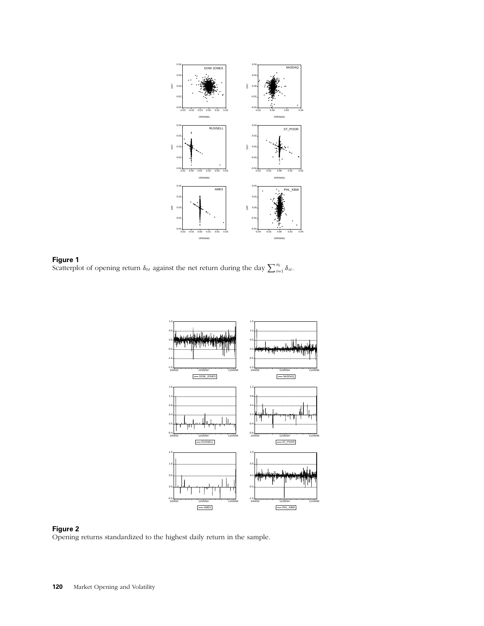





Opening returns standardized to the highest daily return in the sample.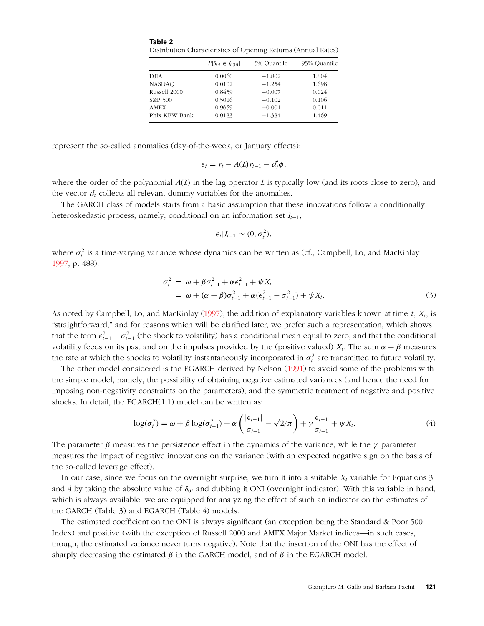**Table 2** Distribution Characteristics of Opening Returns (Annual Rates)

|               | $P[\delta_{0t} \in I_{\varepsilon(0)}]$ | 5% Quantile | 95% Quantile |
|---------------|-----------------------------------------|-------------|--------------|
| <b>DJIA</b>   | 0.0060                                  | $-1.802$    | 1.804        |
| <b>NASDAO</b> | 0.0102                                  | $-1.254$    | 1.698        |
| Russell 2000  | 0.8459                                  | $-0.007$    | 0.024        |
| S&P 500       | 0.5016                                  | $-0.102$    | 0.106        |
| <b>AMEX</b>   | 0.9659                                  | $-0.001$    | 0.011        |
| Phlx KBW Bank | 0.0133                                  | $-1.334$    | 1.469        |
|               |                                         |             |              |

represent the so-called anomalies (day-of-the-week, or January effects):

$$
\epsilon_t = r_t - A(L)r_{t-1} - d'_t\phi,
$$

where the order of the polynomial *A(L)* in the lag operator *L* is typically low (and its roots close to zero), and the vector  $d_t$  collects all relevant dummy variables for the anomalies.

The GARCH class of models starts from a basic assumption that these innovations follow a conditionally heteroskedastic process, namely, conditional on an information set *It*−1,

$$
\epsilon_t | I_{t-1} \sim (0, \sigma_t^2),
$$

where  $\sigma_t^2$  is a time-varying variance whose dynamics can be written as (cf., Campbell, Lo, and MacKinlay [1997,](#page-16-12) p. 488):

$$
\sigma_t^2 = \omega + \beta \sigma_{t-1}^2 + \alpha \epsilon_{t-1}^2 + \psi X_t \n= \omega + (\alpha + \beta) \sigma_{t-1}^2 + \alpha (\epsilon_{t-1}^2 - \sigma_{t-1}^2) + \psi X_t.
$$
\n(3)

As noted by Campbell, Lo, and MacKinlay  $(1997)$ , the addition of explanatory variables known at time *t*,  $X_t$ , is "straightforward," and for reasons which will be clarified later, we prefer such a representation, which shows that the term  $\epsilon_{t-1}^2 - \sigma_{t-1}^2$  (the shock to volatility) has a conditional mean equal to zero, and that the conditional volatility feeds on its past and on the impulses provided by the (positive valued)  $X_t$ . The sum  $\alpha + \beta$  measures the rate at which the shocks to volatility instantaneously incorporated in  $\sigma_t^2$  are transmitted to future volatility.

The other model considered is the EGARCH derived by Nelson [\(1991\)](#page-16-13) to avoid some of the problems with the simple model, namely, the possibility of obtaining negative estimated variances (and hence the need for imposing non-negativity constraints on the parameters), and the symmetric treatment of negative and positive shocks. In detail, the EGARCH(1,1) model can be written as:

$$
\log(\sigma_t^2) = \omega + \beta \log(\sigma_{t-1}^2) + \alpha \left( \frac{|\epsilon_{t-1}|}{\sigma_{t-1}} - \sqrt{2/\pi} \right) + \gamma \frac{\epsilon_{t-1}}{\sigma_{t-1}} + \psi X_t.
$$
 (4)

The parameter  $\beta$  measures the persistence effect in the dynamics of the variance, while the  $\gamma$  parameter measures the impact of negative innovations on the variance (with an expected negative sign on the basis of the so-called leverage effect).

In our case, since we focus on the overnight surprise, we turn it into a suitable  $X_t$  variable for Equations 3 and 4 by taking the absolute value of  $\delta_{0t}$  and dubbing it ONI (overnight indicator). With this variable in hand, which is always available, we are equipped for analyzing the effect of such an indicator on the estimates of the GARCH (Table 3) and EGARCH (Table 4) models.

The estimated coefficient on the ONI is always significant (an exception being the Standard & Poor 500 Index) and positive (with the exception of Russell 2000 and AMEX Major Market indices—in such cases, though, the estimated variance never turns negative). Note that the insertion of the ONI has the effect of sharply decreasing the estimated  $\beta$  in the GARCH model, and of  $\beta$  in the EGARCH model.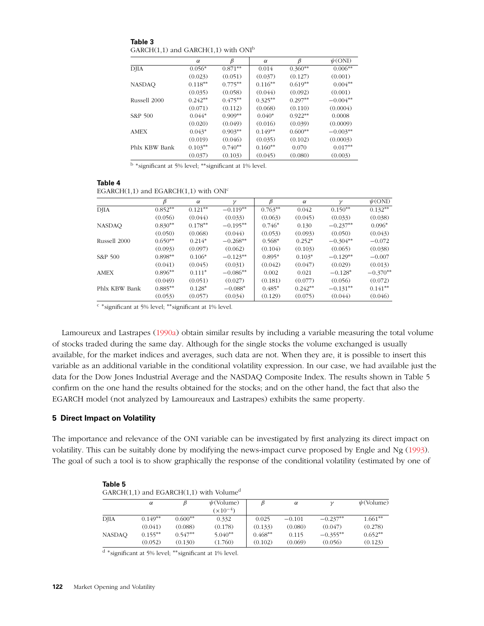**Table 3** GARCH $(1,1)$  and GARCH $(1,1)$  with ONI<sup>b</sup>

|               | $\alpha$  | $\beta$   | $\alpha$  | β         | $\psi$ (ONI) |
|---------------|-----------|-----------|-----------|-----------|--------------|
| DJIA          | $0.056*$  | $0.871**$ | 0.014     | $0.360**$ | $0.006^{**}$ |
|               | (0.023)   | (0.051)   | (0.037)   | (0.127)   | (0.001)      |
| <b>NASDAQ</b> | $0.118**$ | $0.775**$ | $0.116**$ | $0.619**$ | $0.004**$    |
|               | (0.035)   | (0.058)   | (0.044)   | (0.092)   | (0.001)      |
| Russell 2000  | $0.242**$ | $0.475**$ | $0.325**$ | $0.297**$ | $-0.004**$   |
|               | (0.071)   | (0.112)   | (0.068)   | (0.110)   | (0.0004)     |
| S&P 500       | $0.044*$  | $0.909**$ | $0.040*$  | $0.922**$ | 0.0008       |
|               | (0.020)   | (0.049)   | (0.016)   | (0.039)   | (0.0009)     |
| <b>AMEX</b>   | $0.043*$  | $0.903**$ | $0.149**$ | $0.600**$ | $-0.003**$   |
|               | (0.019)   | (0.046)   | (0.035)   | (0.102)   | (0.0003)     |
| Phlx KBW Bank | $0.103**$ | $0.740**$ | $0.160**$ | 0.070     | $0.017**$    |
|               | (0.037)   | (0.103)   | (0.045)   | (0.080)   | (0.003)      |

<sup>b</sup> <sup>∗</sup>significant at 5% level; ∗∗significant at 1% level.

| Table 4                                                 |  |
|---------------------------------------------------------|--|
| EGARCH $(1,1)$ and EGARCH $(1,1)$ with ONI <sup>c</sup> |  |

|               |           | $\alpha$  | $\mathcal V$ | ß         | $\alpha$  | $\gamma$   | $\psi$ (ONI) |
|---------------|-----------|-----------|--------------|-----------|-----------|------------|--------------|
| <b>DJIA</b>   | $0.852**$ | $0.121**$ | $-0.119**$   | $0.763**$ | 0.042     | $0.150**$  | $0.132**$    |
|               | (0.056)   | (0.044)   | (0.033)      | (0.063)   | (0.045)   | (0.033)    | (0.038)      |
| <b>NASDAO</b> | $0.830**$ | $0.178**$ | $-0.195**$   | $0.746*$  | 0.130     | $-0.237**$ | $0.096*$     |
|               | (0.050)   | (0.068)   | (0.044)      | (0.053)   | (0.093)   | (0.050)    | (0.043)      |
| Russell 2000  | $0.650**$ | $0.214*$  | $-0.268**$   | $0.568*$  | $0.252*$  | $-0.304**$ | $-0.072$     |
|               | (0.093)   | (0.097)   | (0.062)      | (0.104)   | (0.103)   | (0.065)    | (0.038)      |
| S&P 500       | $0.898**$ | $0.106*$  | $-0.123**$   | $0.895*$  | $0.103*$  | $-0.129**$ | $-0.007$     |
|               | (0.041)   | (0.045)   | (0.031)      | (0.042)   | (0.047)   | (0.029)    | (0.013)      |
| <b>AMEX</b>   | $0.896**$ | $0.111*$  | $-0.086**$   | 0.002     | 0.021     | $-0.128*$  | $-0.370**$   |
|               | (0.049)   | (0.051)   | (0.027)      | (0.181)   | (0.077)   | (0.056)    | (0.072)      |
| Phlx KBW Bank | $0.885**$ | $0.128*$  | $-0.088*$    | $0.485*$  | $0.242**$ | $-0.131**$ | $0.141**$    |
|               | (0.053)   | (0.057)   | (0.034)      | (0.129)   | (0.075)   | (0.044)    | (0.046)      |

<sup>c</sup> <sup>∗</sup>significant at 5% level; ∗∗significant at 1% level.

Lamoureux and Lastrapes [\(1990a\)](#page-16-10) obtain similar results by including a variable measuring the total volume of stocks traded during the same day. Although for the single stocks the volume exchanged is usually available, for the market indices and averages, such data are not. When they are, it is possible to insert this variable as an additional variable in the conditional volatility expression. In our case, we had available just the data for the Dow Jones Industrial Average and the NASDAQ Composite Index. The results shown in Table 5 confirm on the one hand the results obtained for the stocks; and on the other hand, the fact that also the EGARCH model (not analyzed by Lamoureaux and Lastrapes) exhibits the same property.

## **5 Direct Impact on Volatility**

**Table 5**

The importance and relevance of the ONI variable can be investigated by first analyzing its direct impact on volatility. This can be suitably done by modifying the news-impact curve proposed by Engle and Ng [\(1993\)](#page-16-1). The goal of such a tool is to show graphically the response of the conditional volatility (estimated by one of

| $GARCH(1,1)$ and $EGARCH(1,1)$ with Volume <sup>d</sup> |           |           |                 |           |          |            |                 |
|---------------------------------------------------------|-----------|-----------|-----------------|-----------|----------|------------|-----------------|
|                                                         | $\alpha$  |           | $\psi$ (Volume) |           | $\alpha$ |            | $\psi$ (Volume) |
|                                                         |           |           | $(x10^{-4})$    |           |          |            |                 |
| <b>DIIA</b>                                             | $0.149**$ | $0.600**$ | 0.332           | 0.025     | $-0.101$ | $-0.237**$ | $1.661**$       |
|                                                         | (0.041)   | (0.088)   | (0.178)         | (0.133)   | (0.080)  | (0.047)    | (0.278)         |
| <b>NASDAO</b>                                           | $0.155**$ | $0.547**$ | $5.040**$       | $0.468**$ | 0.115    | $-0.355**$ | $0.652**$       |
|                                                         | (0.052)   | (0.130)   | (1.760)         | (0.102)   | (0.069)  | (0.056)    | (0.123)         |

<sup>d</sup> <sup>∗</sup>significant at 5% level; ∗∗significant at 1% level.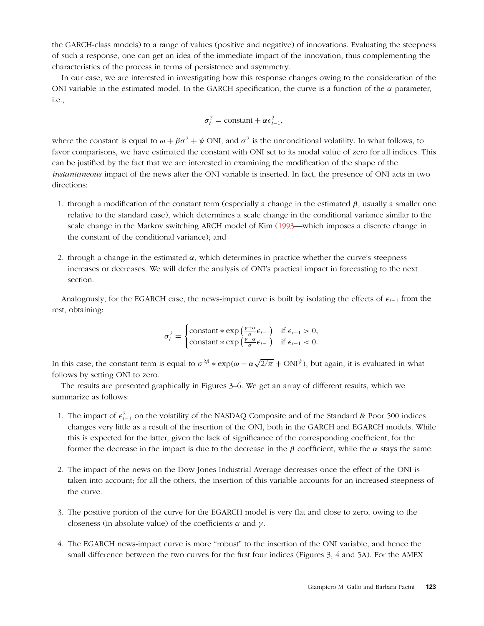the GARCH-class models) to a range of values (positive and negative) of innovations. Evaluating the steepness of such a response, one can get an idea of the immediate impact of the innovation, thus complementing the characteristics of the process in terms of persistence and asymmetry.

In our case, we are interested in investigating how this response changes owing to the consideration of the ONI variable in the estimated model. In the GARCH specification, the curve is a function of the *α* parameter, i.e.,

$$
\sigma_t^2 = \text{constant} + \alpha \epsilon_{t-1}^2,
$$

where the constant is equal to  $\omega + \beta \sigma^2 + \psi$  ONI, and  $\sigma^2$  is the unconditional volatility. In what follows, to favor comparisons, we have estimated the constant with ONI set to its modal value of zero for all indices. This can be justified by the fact that we are interested in examining the modification of the shape of the *instantaneous* impact of the news after the ONI variable is inserted. In fact, the presence of ONI acts in two directions:

- 1. through a modification of the constant term (especially a change in the estimated *β*, usually a smaller one relative to the standard case), which determines a scale change in the conditional variance similar to the scale change in the Markov switching ARCH model of Kim [\(1993—](#page-16-14)which imposes a discrete change in the constant of the conditional variance); and
- 2. through a change in the estimated  $\alpha$ , which determines in practice whether the curve's steepness increases or decreases. We will defer the analysis of ONI's practical impact in forecasting to the next section.

Analogously, for the EGARCH case, the news-impact curve is built by isolating the effects of  $\epsilon_{t-1}$  from the rest, obtaining:

$$
\sigma_t^2 = \begin{cases}\n\text{constant} * \exp\left(\frac{\gamma + \alpha}{\sigma} \epsilon_{t-1}\right) & \text{if } \epsilon_{t-1} > 0, \\
\text{constant} * \exp\left(\frac{\gamma - \alpha}{\sigma} \epsilon_{t-1}\right) & \text{if } \epsilon_{t-1} < 0.\n\end{cases}
$$

In this case, the constant term is equal to  $\sigma^{2\beta} * \exp(\omega - \alpha \sqrt{2/\pi} + \text{ONI}^{\psi})$ , but again, it is evaluated in what follows by setting ONI to zero.

The results are presented graphically in Figures 3–6. We get an array of different results, which we summarize as follows:

- 1. The impact of  $\epsilon_{t-1}^2$  on the volatility of the NASDAQ Composite and of the Standard & Poor 500 indices changes very little as a result of the insertion of the ONI, both in the GARCH and EGARCH models. While this is expected for the latter, given the lack of significance of the corresponding coefficient, for the former the decrease in the impact is due to the decrease in the  $\beta$  coefficient, while the  $\alpha$  stays the same.
- 2. The impact of the news on the Dow Jones Industrial Average decreases once the effect of the ONI is taken into account; for all the others, the insertion of this variable accounts for an increased steepness of the curve.
- 3. The positive portion of the curve for the EGARCH model is very flat and close to zero, owing to the closeness (in absolute value) of the coefficients *α* and *γ* .
- 4. The EGARCH news-impact curve is more "robust" to the insertion of the ONI variable, and hence the small difference between the two curves for the first four indices (Figures 3, 4 and 5A). For the AMEX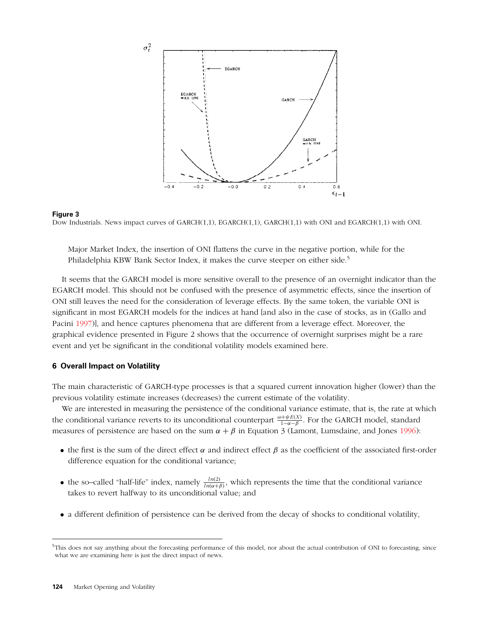

#### **Figure 3** Dow Industrials. News impact curves of GARCH(1,1), EGARCH(1,1), GARCH(1,1) with ONI and EGARCH(1,1) with ONI.

Major Market Index, the insertion of ONI flattens the curve in the negative portion, while for the Philadelphia KBW Bank Sector Index, it makes the curve steeper on either side.5

It seems that the GARCH model is more sensitive overall to the presence of an overnight indicator than the EGARCH model. This should not be confused with the presence of asymmetric effects, since the insertion of ONI still leaves the need for the consideration of leverage effects. By the same token, the variable ONI is significant in most EGARCH models for the indices at hand [and also in the case of stocks, as in (Gallo and Pacini [1997\)](#page-16-15)], and hence captures phenomena that are different from a leverage effect. Moreover, the graphical evidence presented in Figure 2 shows that the occurrence of overnight surprises might be a rare event and yet be significant in the conditional volatility models examined here.

## **6 Overall Impact on Volatility**

The main characteristic of GARCH-type processes is that a squared current innovation higher (lower) than the previous volatility estimate increases (decreases) the current estimate of the volatility.

We are interested in measuring the persistence of the conditional variance estimate, that is, the rate at which the conditional variance reverts to its unconditional counterpart  $\frac{\omega + \psi E(X)}{1 - \alpha - \beta}$ . For the GARCH model, standard measures of persistence are based on the sum  $\alpha + \beta$  in Equation 3 (Lamont, Lumsdaine, and Jones [1996\)](#page-16-16):

- the first is the sum of the direct effect  $\alpha$  and indirect effect  $\beta$  as the coefficient of the associated first-order difference equation for the conditional variance;
- the so–called "half-life" index, namely  $\frac{ln(2)}{ln(\alpha+\beta)}$ , which represents the time that the conditional variance takes to revert halfway to its unconditional value; and
- a different definition of persistence can be derived from the decay of shocks to conditional volatility,

<sup>&</sup>lt;sup>5</sup>This does not say anything about the forecasting performance of this model, nor about the actual contribution of ONI to forecasting, since what we are examining here is just the direct impact of news.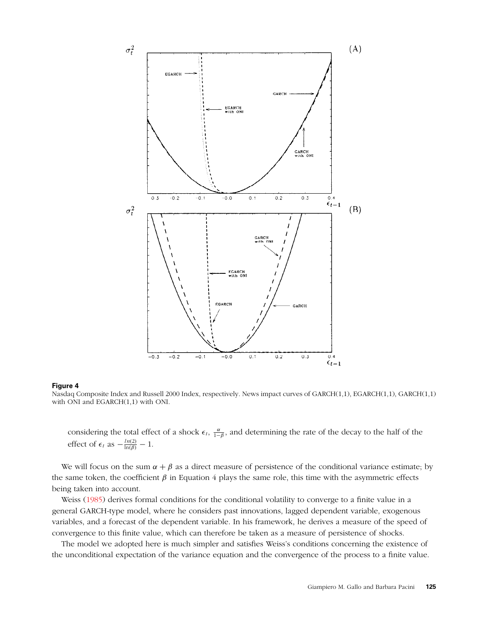

Nasdaq Composite Index and Russell 2000 Index, respectively. News impact curves of GARCH(1,1), EGARCH(1,1), GARCH(1,1) with ONI and EGARCH(1,1) with ONI.

considering the total effect of a shock  $\epsilon_t$ ,  $\frac{\alpha}{1-\beta}$ , and determining the rate of the decay to the half of the effect of  $\epsilon_t$  as  $-\frac{ln(2)}{\ln(\beta)} - 1$ .

We will focus on the sum  $\alpha + \beta$  as a direct measure of persistence of the conditional variance estimate; by the same token, the coefficient  $\beta$  in Equation 4 plays the same role, this time with the asymmetric effects being taken into account.

Weiss [\(1985\)](#page-17-0) derives formal conditions for the conditional volatility to converge to a finite value in a general GARCH-type model, where he considers past innovations, lagged dependent variable, exogenous variables, and a forecast of the dependent variable. In his framework, he derives a measure of the speed of convergence to this finite value, which can therefore be taken as a measure of persistence of shocks.

The model we adopted here is much simpler and satisfies Weiss's conditions concerning the existence of the unconditional expectation of the variance equation and the convergence of the process to a finite value.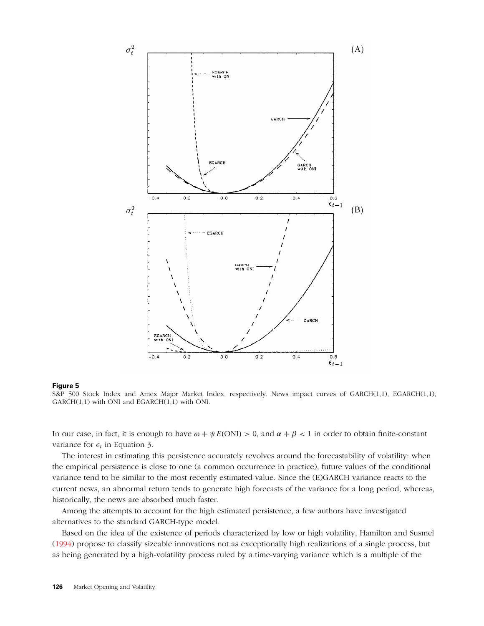

S&P 500 Stock Index and Amex Major Market Index, respectively. News impact curves of GARCH(1,1), EGARCH(1,1),  $GARCH(1,1)$  with ONI and  $EGARCH(1,1)$  with ONI.

In our case, in fact, it is enough to have *ω* + *ψE(*ONI*) >* 0, and *α* + *β <* 1 in order to obtain finite-constant variance for  $\epsilon_t$  in Equation 3.

The interest in estimating this persistence accurately revolves around the forecastability of volatility: when the empirical persistence is close to one (a common occurrence in practice), future values of the conditional variance tend to be similar to the most recently estimated value. Since the (E)GARCH variance reacts to the current news, an abnormal return tends to generate high forecasts of the variance for a long period, whereas, historically, the news are absorbed much faster.

Among the attempts to account for the high estimated persistence, a few authors have investigated alternatives to the standard GARCH-type model.

Based on the idea of the existence of periods characterized by low or high volatility, Hamilton and Susmel [\(1994\)](#page-16-17) propose to classify sizeable innovations not as exceptionally high realizations of a single process, but as being generated by a high-volatility process ruled by a time-varying variance which is a multiple of the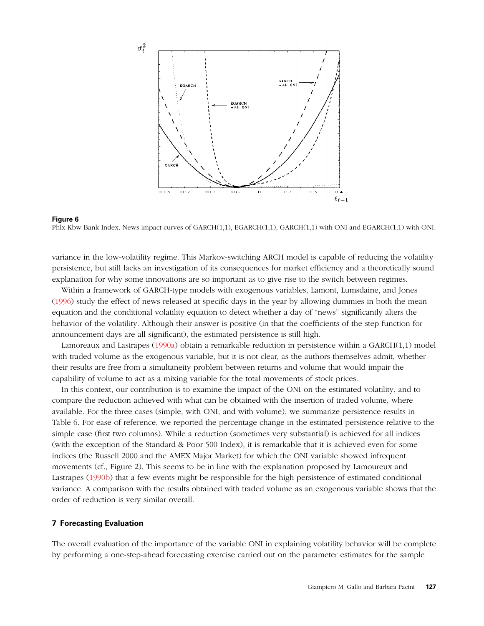

Phlx Kbw Bank Index. News impact curves of GARCH(1,1), EGARCH(1,1), GARCH(1,1) with ONI and EGARCH(1,1) with ONI.

variance in the low-volatility regime. This Markov-switching ARCH model is capable of reducing the volatility persistence, but still lacks an investigation of its consequences for market efficiency and a theoretically sound explanation for why some innovations are so important as to give rise to the switch between regimes.

Within a framework of GARCH-type models with exogenous variables, Lamont, Lumsdaine, and Jones [\(1996\)](#page-16-16) study the effect of news released at specific days in the year by allowing dummies in both the mean equation and the conditional volatility equation to detect whether a day of "news" significantly alters the behavior of the volatility. Although their answer is positive (in that the coefficients of the step function for announcement days are all significant), the estimated persistence is still high.

Lamoreaux and Lastrapes [\(1990a\)](#page-16-10) obtain a remarkable reduction in persistence within a GARCH(1,1) model with traded volume as the exogenous variable, but it is not clear, as the authors themselves admit, whether their results are free from a simultaneity problem between returns and volume that would impair the capability of volume to act as a mixing variable for the total movements of stock prices.

In this context, our contribution is to examine the impact of the ONI on the estimated volatility, and to compare the reduction achieved with what can be obtained with the insertion of traded volume, where available. For the three cases (simple, with ONI, and with volume), we summarize persistence results in Table 6. For ease of reference, we reported the percentage change in the estimated persistence relative to the simple case (first two columns). While a reduction (sometimes very substantial) is achieved for all indices (with the exception of the Standard & Poor 500 Index), it is remarkable that it is achieved even for some indices (the Russell 2000 and the AMEX Major Market) for which the ONI variable showed infrequent movements (cf., Figure 2). This seems to be in line with the explanation proposed by Lamoureux and Lastrapes [\(1990b\)](#page-16-18) that a few events might be responsible for the high persistence of estimated conditional variance. A comparison with the results obtained with traded volume as an exogenous variable shows that the order of reduction is very similar overall.

## **7 Forecasting Evaluation**

The overall evaluation of the importance of the variable ONI in explaining volatility behavior will be complete by performing a one-step-ahead forecasting exercise carried out on the parameter estimates for the sample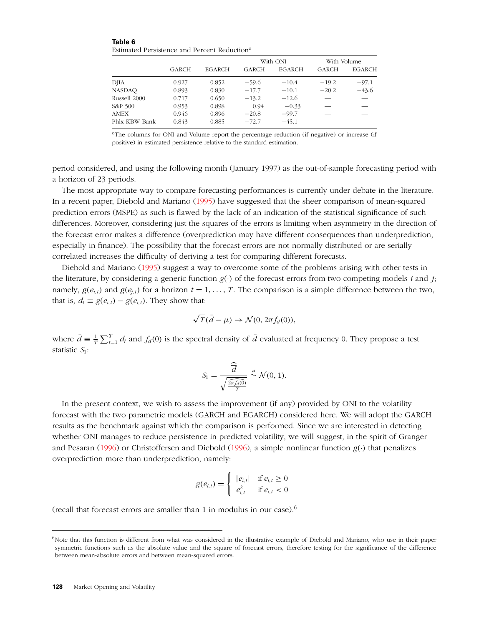**Table 6** Estimated Persistence and Percent Reductione

|               |       |               |              | With ONI      | With Volume  |               |
|---------------|-------|---------------|--------------|---------------|--------------|---------------|
|               | GARCH | <b>EGARCH</b> | <b>GARCH</b> | <b>EGARCH</b> | <b>GARCH</b> | <b>EGARCH</b> |
| <b>DJIA</b>   | 0.927 | 0.852         | $-59.6$      | $-10.4$       | $-19.2$      | $-97.1$       |
| <b>NASDAO</b> | 0.893 | 0.830         | $-17.7$      | $-10.1$       | $-20.2$      | $-43.6$       |
| Russell 2000  | 0.717 | 0.650         | $-13.2$      | $-12.6$       |              |               |
| S&P 500       | 0.953 | 0.898         | 0.94         | $-0.33$       |              |               |
| <b>AMEX</b>   | 0.946 | 0.896         | $-20.8$      | $-99.7$       |              |               |
| Phlx KBW Bank | 0.843 | 0.885         | $-72.7$      | $-45.1$       |              |               |

eThe columns for ONI and Volume report the percentage reduction (if negative) or increase (if positive) in estimated persistence relative to the standard estimation.

period considered, and using the following month (January 1997) as the out-of-sample forecasting period with a horizon of 23 periods.

The most appropriate way to compare forecasting performances is currently under debate in the literature. In a recent paper, Diebold and Mariano [\(1995\)](#page-16-5) have suggested that the sheer comparison of mean-squared prediction errors (MSPE) as such is flawed by the lack of an indication of the statistical significance of such differences. Moreover, considering just the squares of the errors is limiting when asymmetry in the direction of the forecast error makes a difference (overprediction may have different consequences than underprediction, especially in finance). The possibility that the forecast errors are not normally distributed or are serially correlated increases the difficulty of deriving a test for comparing different forecasts.

Diebold and Mariano [\(1995\)](#page-16-5) suggest a way to overcome some of the problems arising with other tests in the literature, by considering a generic function  $g(\cdot)$  of the forecast errors from two competing models *i* and *j*; namely,  $g(e_{i,t})$  and  $g(e_{i,t})$  for a horizon  $t = 1, \ldots, T$ . The comparison is a simple difference between the two, that is,  $d_t \equiv g(e_{i,t}) - g(e_{i,t})$ . They show that:

$$
\sqrt{T}(\bar{d}-\mu) \to \mathcal{N}(0, 2\pi f_d(0)),
$$

where  $\bar{d} \equiv \frac{1}{T} \sum_{t=1}^{T} d_t$  and  $f_d(0)$  is the spectral density of  $\bar{d}$  evaluated at frequency 0. They propose a test statistic *S*1:

$$
S_1 = \frac{\widehat{\overline{d}}}{\sqrt{\frac{2\pi f_d(0)}{T}}} \stackrel{a}{\sim} \mathcal{N}(0, 1).
$$

In the present context, we wish to assess the improvement (if any) provided by ONI to the volatility forecast with the two parametric models (GARCH and EGARCH) considered here. We will adopt the GARCH results as the benchmark against which the comparison is performed. Since we are interested in detecting whether ONI manages to reduce persistence in predicted volatility, we will suggest, in the spirit of Granger and Pesaran [\(1996\)](#page-16-19) or Christoffersen and Diebold [\(1996\)](#page-16-20), a simple nonlinear function *g(*·*)* that penalizes overprediction more than underprediction, namely:

$$
g(e_{i,t}) = \begin{cases} |e_{i,t}| & \text{if } e_{i,t} \ge 0\\ e_{i,t}^2 & \text{if } e_{i,t} < 0 \end{cases}
$$

(recall that forecast errors are smaller than 1 in modulus in our case).<sup>6</sup>

 $6$ Note that this function is different from what was considered in the illustrative example of Diebold and Mariano, who use in their paper symmetric functions such as the absolute value and the square of forecast errors, therefore testing for the significance of the difference between mean-absolute errors and between mean-squared errors.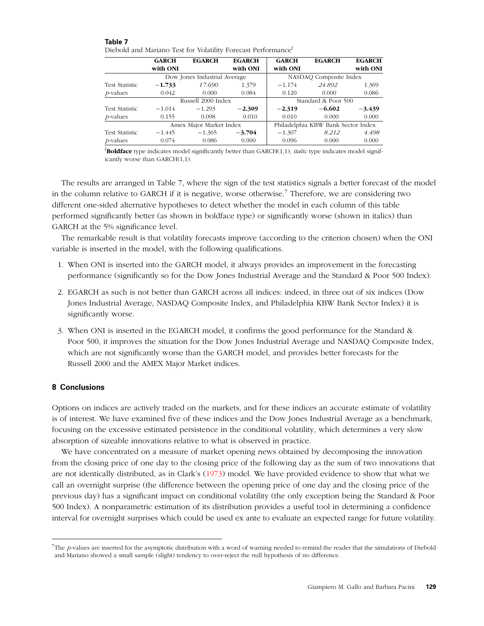| Diedolu anu manano Test ioi volatinty Porecast Periormance |                    |                              |               |                     |                                    |               |  |
|------------------------------------------------------------|--------------------|------------------------------|---------------|---------------------|------------------------------------|---------------|--|
|                                                            | <b>GARCH</b>       | <b>EGARCH</b>                | <b>EGARCH</b> | <b>GARCH</b>        | <b>EGARCH</b>                      | <b>EGARCH</b> |  |
|                                                            | with ONI           |                              | with ONI      | with ONI            |                                    | with ONI      |  |
|                                                            |                    | Dow Jones Industrial Average |               |                     | NASDAQ Composite Index             |               |  |
| <b>Test Statistic</b>                                      | $-1.733$           | 17.690                       | 1.379         | $-1.174$            | 24.892                             | 1.369         |  |
| $p$ -values                                                | 0.042              | 0.000                        | 0.084         | 0.120               | 0.000                              | 0.086         |  |
|                                                            | Russell 2000 Index |                              |               | Standard & Poor 500 |                                    |               |  |
| <b>Test Statistic</b>                                      | $-1.014$           | $-1.293$                     | $-2.309$      | $-2.319$            | $-6.602$                           | $-3.439$      |  |
| <i>p</i> -values                                           | 0.155              | 0.098                        | 0.010         | 0.010               | 0.000                              | 0.000         |  |
|                                                            |                    | Amex Major Market Index      |               |                     | Philadelphia KBW Bank Sector Index |               |  |
| <b>Test Statistic</b>                                      | $-1.445$           | $-1.365$                     | $-3.704$      | $-1.307$            | 8.212                              | 4.498         |  |
| <i>p</i> -values                                           | 0.074              | 0.086                        | 0.000         | 0.096               | 0.000                              | 0.000         |  |

| .                                                                         |  |  |
|---------------------------------------------------------------------------|--|--|
| Diebold and Mariano Test for Volatility Forecast Performance <sup>f</sup> |  |  |

**Table 7**

f **Boldface** type indicates model significantly better than GARCH(1,1); *italic* type indicates model significantly worse than GARCH(1,1).

The results are arranged in Table 7, where the sign of the test statistics signals a better forecast of the model in the column relative to GARCH if it is negative, worse otherwise.<sup>7</sup> Therefore, we are considering two different one-sided alternative hypotheses to detect whether the model in each column of this table performed significantly better (as shown in boldface type) or significantly worse (shown in italics) than GARCH at the 5% significance level.

The remarkable result is that volatility forecasts improve (according to the criterion chosen) when the ONI variable is inserted in the model, with the following qualifications.

- 1. When ONI is inserted into the GARCH model, it always provides an improvement in the forecasting performance (significantly so for the Dow Jones Industrial Average and the Standard & Poor 500 Index).
- 2. EGARCH as such is not better than GARCH across all indices: indeed, in three out of six indices (Dow Jones Industrial Average, NASDAQ Composite Index, and Philadelphia KBW Bank Sector Index) it is significantly worse.
- 3. When ONI is inserted in the EGARCH model, it confirms the good performance for the Standard & Poor 500, it improves the situation for the Dow Jones Industrial Average and NASDAQ Composite Index, which are not significantly worse than the GARCH model, and provides better forecasts for the Russell 2000 and the AMEX Major Market indices.

## **8 Conclusions**

Options on indices are actively traded on the markets, and for these indices an accurate estimate of volatility is of interest. We have examined five of these indices and the Dow Jones Industrial Average as a benchmark, focusing on the excessive estimated persistence in the conditional volatility, which determines a very slow absorption of sizeable innovations relative to what is observed in practice.

We have concentrated on a measure of market opening news obtained by decomposing the innovation from the closing price of one day to the closing price of the following day as the sum of two innovations that are not identically distributed, as in Clark's [\(1973\)](#page-16-4) model. We have provided evidence to show that what we call an overnight surprise (the difference between the opening price of one day and the closing price of the previous day) has a significant impact on conditional volatility (the only exception being the Standard & Poor 500 Index). A nonparametric estimation of its distribution provides a useful tool in determining a confidence interval for overnight surprises which could be used ex ante to evaluate an expected range for future volatility.

<sup>7</sup>The *p*-values are inserted for the asymptotic distribution with a word of warning needed to remind the reader that the simulations of Diebold and Mariano showed a small sample (slight) tendency to over-reject the null hypothesis of no difference.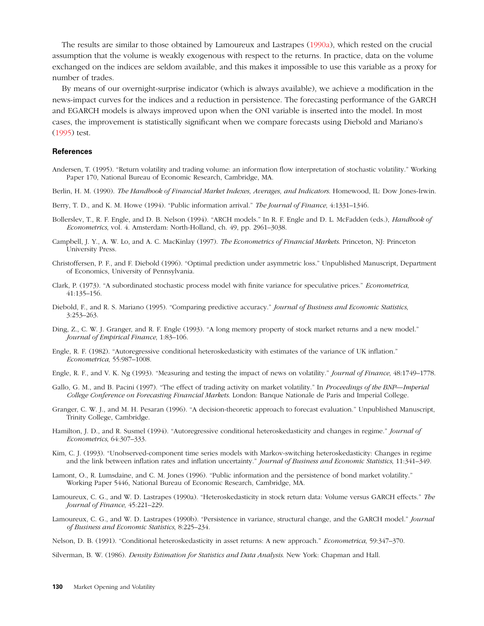The results are similar to those obtained by Lamoureux and Lastrapes [\(1990a\)](#page-16-10), which rested on the crucial assumption that the volume is weakly exogenous with respect to the returns. In practice, data on the volume exchanged on the indices are seldom available, and this makes it impossible to use this variable as a proxy for number of trades.

<span id="page-16-8"></span>By means of our overnight-surprise indicator (which is always available), we achieve a modification in the news-impact curves for the indices and a reduction in persistence. The forecasting performance of the GARCH and EGARCH models is always improved upon when the ONI variable is inserted into the model. In most cases, the improvement is statistically significant when we compare forecasts using Diebold and Mariano's [\(1995\)](#page-16-5) test.

### <span id="page-16-7"></span><span id="page-16-6"></span><span id="page-16-3"></span>**References**

- <span id="page-16-12"></span>Andersen, T. (1995). "Return volatility and trading volume: an information flow interpretation of stochastic volatility." Working Paper 170, National Bureau of Economic Research, Cambridge, MA.
- Berlin, H. M. (1990). *The Handbook of Financial Market Indexes, Averages, and Indicators*. Homewood, IL: Dow Jones-Irwin.
- <span id="page-16-20"></span>Berry, T. D., and K. M. Howe (1994). "Public information arrival." *The Journal of Finance*, 4:1331–1346.
- <span id="page-16-4"></span>Bollerslev, T., R. F. Engle, and D. B. Nelson (1994). "ARCH models." In R. F. Engle and D. L. McFadden (eds.), *Handbook of Econometrics*, vol. 4. Amsterdam: North-Holland, ch. 49, pp. 2961–3038.
- <span id="page-16-5"></span>Campbell, J. Y., A. W. Lo, and A. C. MacKinlay (1997). *The Econometrics of Financial Markets*. Princeton, NJ: Princeton University Press.
- <span id="page-16-2"></span>Christoffersen, P. F., and F. Diebold (1996). "Optimal prediction under asymmetric loss." Unpublished Manuscript, Department of Economics, University of Pennsylvania.
- <span id="page-16-0"></span>Clark, P. (1973). "A subordinated stochastic process model with finite variance for speculative prices." *Econometrica*, 41:135–156.
- <span id="page-16-1"></span>Diebold, F., and R. S. Mariano (1995). "Comparing predictive accuracy." *Journal of Business and Economic Statistics*, 3:253–263.
- <span id="page-16-15"></span>Ding, Z., C. W. J. Granger, and R. F. Engle (1993). "A long memory property of stock market returns and a new model." *Journal of Empirical Finance*, 1:83–106.
- <span id="page-16-19"></span>Engle, R. F. (1982). "Autoregressive conditional heteroskedasticity with estimates of the variance of UK inflation." *Econometrica*, 55:987–1008.
- <span id="page-16-17"></span>Engle, R. F., and V. K. Ng (1993). "Measuring and testing the impact of news on volatility." *Journal of Finance*, 48:1749–1778.
- <span id="page-16-14"></span>Gallo, G. M., and B. Pacini (1997). "The effect of trading activity on market volatility." In *Proceedings of the BNP—Imperial College Conference on Forecasting Financial Markets*. London: Banque Nationale de Paris and Imperial College.
- <span id="page-16-16"></span>Granger, C. W. J., and M. H. Pesaran (1996). "A decision-theoretic approach to forecast evaluation." Unpublished Manuscript, Trinity College, Cambridge.
- <span id="page-16-10"></span>Hamilton, J. D., and R. Susmel (1994). "Autoregressive conditional heteroskedasticity and changes in regime." *Journal of Econometrics*, 64:307–333.
- <span id="page-16-18"></span>Kim, C. J. (1993). "Unobserved-component time series models with Markov-switching heteroskedasticity: Changes in regime and the link between inflation rates and inflation uncertainty." *Journal of Business and Economic Statistics*, 11:341–349.
- <span id="page-16-13"></span>Lamont, O., R. Lumsdaine, and C. M. Jones (1996). "Public information and the persistence of bond market volatility." Working Paper 5446, National Bureau of Economic Research, Cambridge, MA.
- <span id="page-16-11"></span><span id="page-16-9"></span>Lamoureux, C. G., and W. D. Lastrapes (1990a). "Heteroskedasticity in stock return data: Volume versus GARCH effects." *The Journal of Finance*, 45:221–229.
- Lamoureux, C. G., and W. D. Lastrapes (1990b). "Persistence in variance, structural change, and the GARCH model." *Journal of Business and Economic Statistics*, 8:225–234.
- Nelson, D. B. (1991). "Conditional heteroskedasticity in asset returns: A new approach." *Econometrica*, 59:347–370.

Silverman, B. W. (1986). *Density Estimation for Statistics and Data Analysis*. New York: Chapman and Hall.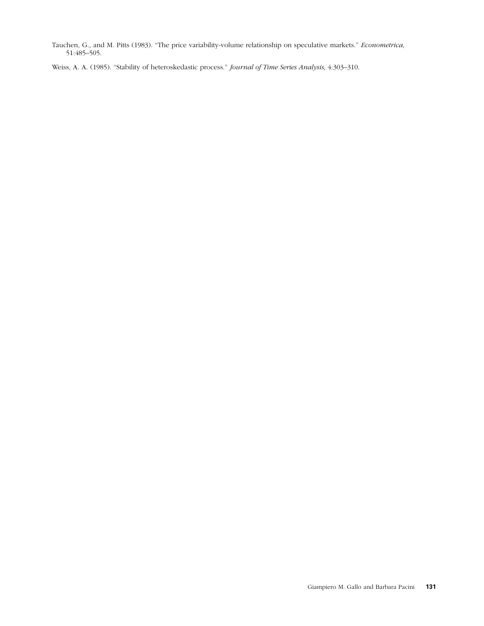<span id="page-17-0"></span>Tauchen, G., and M. Pitts (1983). "The price variability-volume relationship on speculative markets." *Econometrica*, 51:485–505.

Weiss, A. A. (1985). "Stability of heteroskedastic process." *Journal of Time Series Analysis*, 4:303–310.